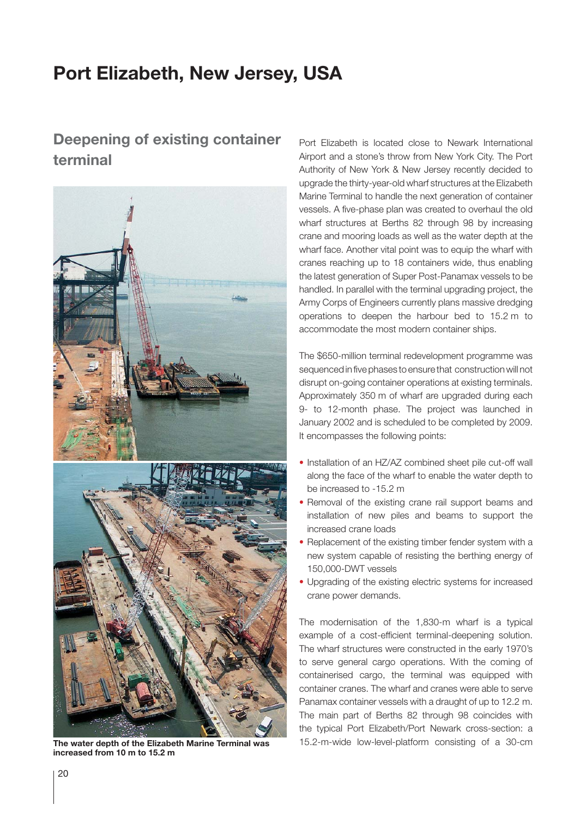## **Port Elizabeth, New Jersey, USA**

## **Deepening of existing container terminal**



**increased from 10 m to 15.2 m**

Port Elizabeth is located close to Newark International Airport and a stone's throw from New York City. The Port Authority of New York & New Jersey recently decided to upgrade the thirty-year-old wharf structures at the Elizabeth Marine Terminal to handle the next generation of container vessels. A five-phase plan was created to overhaul the old wharf structures at Berths 82 through 98 by increasing crane and mooring loads as well as the water depth at the wharf face. Another vital point was to equip the wharf with cranes reaching up to 18 containers wide, thus enabling the latest generation of Super Post-Panamax vessels to be handled. In parallel with the terminal upgrading project, the Army Corps of Engineers currently plans massive dredging operations to deepen the harbour bed to 15.2 m to accommodate the most modern container ships.

The \$650-million terminal redevelopment programme was sequenced in five phases to ensure that construction will not disrupt on-going container operations at existing terminals. Approximately 350 m of wharf are upgraded during each 9- to 12-month phase. The project was launched in January 2002 and is scheduled to be completed by 2009. It encompasses the following points:

- Installation of an HZ/AZ combined sheet pile cut-off wall along the face of the wharf to enable the water depth to be increased to -15.2 m
- Removal of the existing crane rail support beams and installation of new piles and beams to support the increased crane loads
- Replacement of the existing timber fender system with a new system capable of resisting the berthing energy of 150,000-DWT vessels
- Upgrading of the existing electric systems for increased crane power demands.

The modernisation of the 1,830-m wharf is a typical example of a cost-efficient terminal-deepening solution. The wharf structures were constructed in the early 1970's to serve general cargo operations. With the coming of containerised cargo, the terminal was equipped with container cranes. The wharf and cranes were able to serve Panamax container vessels with a draught of up to 12.2 m. The main part of Berths 82 through 98 coincides with the typical Port Elizabeth/Port Newark cross-section: a **The water depth of the Elizabeth Marine Terminal was** 15.2-m-wide low-level-platform consisting of a 30-cm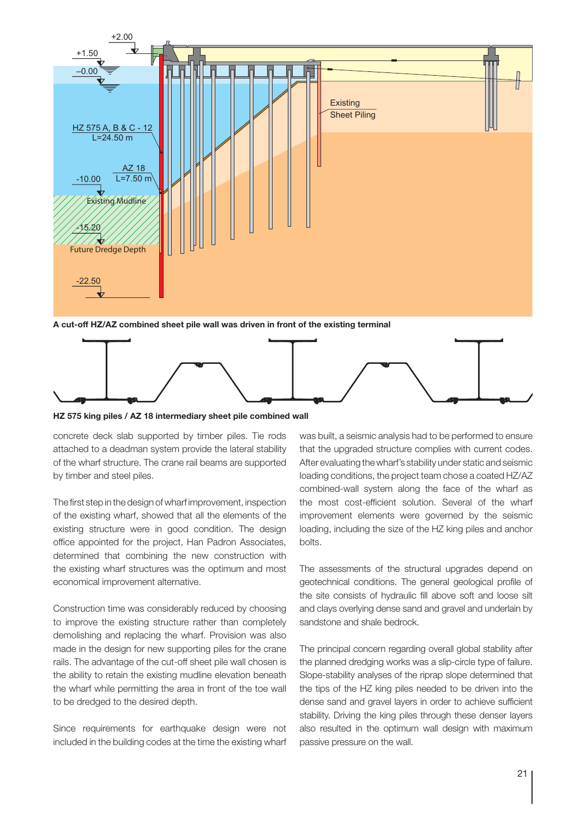

**A cut-off HZ/AZ combined sheet pile wall was driven in front of the existing terminal**



**HZ 575 king piles / AZ 18 intermediary sheet pile combined wall**

concrete deck slab supported by timber piles. Tie rods attached to a deadman system provide the lateral stability of the wharf structure. The crane rail beams are supported by timber and steel piles.

The first step in the design of wharf improvement, inspection of the existing wharf, showed that all the elements of the existing structure were in good condition. The design office appointed for the project, Han Padron Associates, determined that combining the new construction with the existing wharf structures was the optimum and most economical improvement alternative.

Construction time was considerably reduced by choosing to improve the existing structure rather than completely demolishing and replacing the wharf. Provision was also made in the design for new supporting piles for the crane rails. The advantage of the cut-off sheet pile wall chosen is the ability to retain the existing mudline elevation beneath the wharf while permitting the area in front of the toe wall to be dredged to the desired depth.

Since requirements for earthquake design were not included in the building codes at the time the existing wharf

was built, a seismic analysis had to be performed to ensure that the upgraded structure complies with current codes. After evaluating the wharf's stability under static and seismic loading conditions, the project team chose a coated HZ/AZ combined-wall system along the face of the wharf as the most cost-efficient solution. Several of the wharf improvement elements were governed by the seismic loading, including the size of the HZ king piles and anchor bolts.

The assessments of the structural upgrades depend on geotechnical conditions. The general geological profile of the site consists of hydraulic fill above soft and loose silt and clays overlying dense sand and gravel and underlain by sandstone and shale bedrock.

The principal concern regarding overall global stability after the planned dredging works was a slip-circle type of failure. Slope-stability analyses of the riprap slope determined that the tips of the HZ king piles needed to be driven into the dense sand and gravel layers in order to achieve sufficient stability. Driving the king piles through these denser layers also resulted in the optimum wall design with maximum passive pressure on the wall.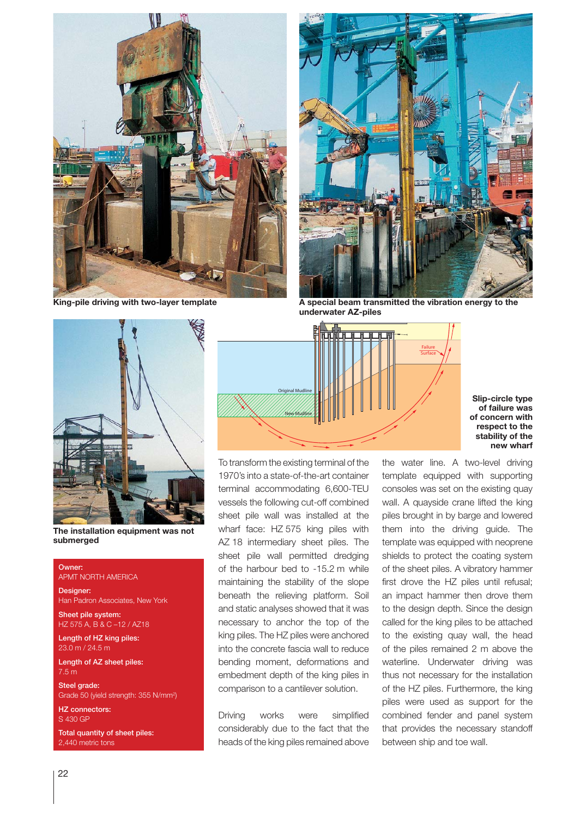

**King-pile driving with two-layer template**



**A special beam transmitted the vibration energy to the underwater AZ-piles**



**The installation equipment was not submerged**

## Owner:

APMT NORTH AMERICA

Designer: Han Padron Associates, New York

Sheet pile system: HZ 575 A, B & C –12 / AZ18

Length of HZ king piles: 23.0 m / 24.5 m

Length of AZ sheet piles: 7.5 m

Steel grade: Grade 50 (yield strength: 355 N/mm2 )

HZ connectors: S 430 GP

Total quantity of sheet piles: 2,440 metric tons



To transform the existing terminal of the 1970's into a state-of-the-art container terminal accommodating 6,600-TEU vessels the following cut-off combined sheet pile wall was installed at the wharf face: HZ 575 king piles with AZ 18 intermediary sheet piles. The sheet pile wall permitted dredging of the harbour bed to -15.2 m while maintaining the stability of the slope beneath the relieving platform. Soil and static analyses showed that it was necessary to anchor the top of the king piles. The HZ piles were anchored into the concrete fascia wall to reduce bending moment, deformations and embedment depth of the king piles in comparison to a cantilever solution.

Driving works were simplified considerably due to the fact that the heads of the king piles remained above the water line. A two-level driving template equipped with supporting consoles was set on the existing quay wall. A quayside crane lifted the king piles brought in by barge and lowered them into the driving guide. The template was equipped with neoprene shields to protect the coating system of the sheet piles. A vibratory hammer first drove the HZ piles until refusal; an impact hammer then drove them to the design depth. Since the design called for the king piles to be attached to the existing quay wall, the head of the piles remained 2 m above the waterline. Underwater driving was thus not necessary for the installation of the HZ piles. Furthermore, the king piles were used as support for the combined fender and panel system that provides the necessary standoff between ship and toe wall.

**Slip-circle type of failure was of concern with respect to the stability of the new wharf**